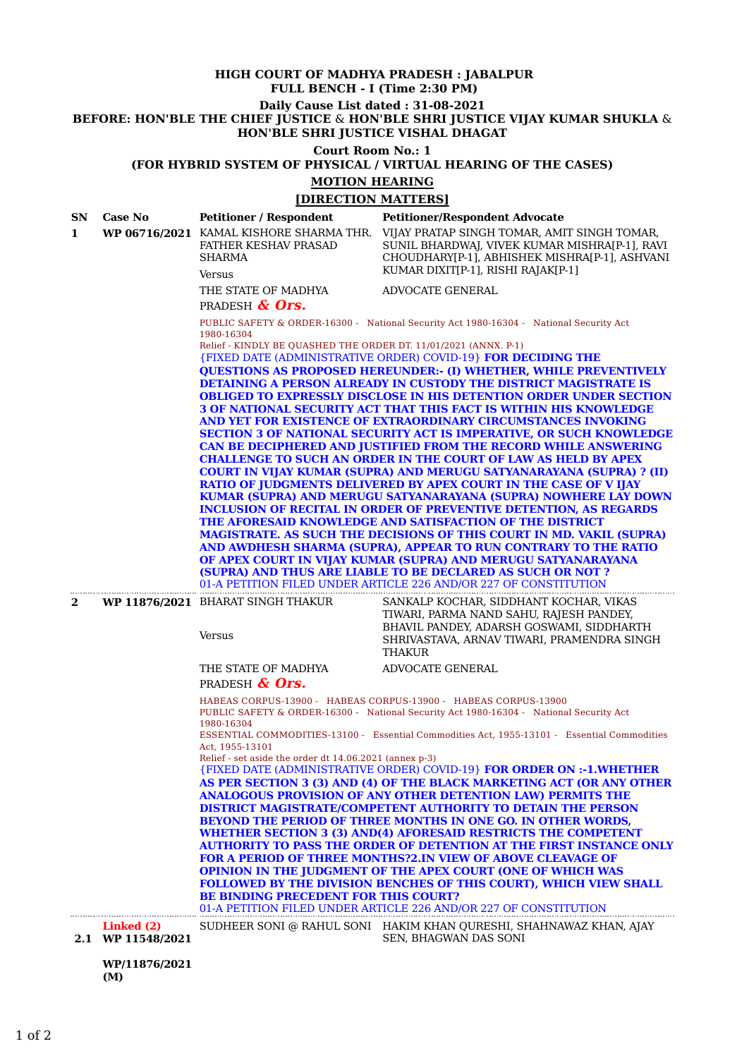# **HIGH COURT OF MADHYA PRADESH : JABALPUR FULL BENCH - I (Time 2:30 PM)**

**Daily Cause List dated : 31-08-2021**

**BEFORE: HON'BLE THE CHIEF JUSTICE** & **HON'BLE SHRI JUSTICE VIJAY KUMAR SHUKLA** & **HON'BLE SHRI JUSTICE VISHAL DHAGAT**

# **Court Room No.: 1**

**(FOR HYBRID SYSTEM OF PHYSICAL / VIRTUAL HEARING OF THE CASES)**

# **MOTION HEARING**

| [DIRECTION MATTERS] |                                 |                                                                                                                                                                                                                                                                                                                                                                                                                                                                                                                                                                                                                                                                                                                                                                                                                                                                                                                                                                                                                                                                                                                                                                                                                                                                                                                                                                                                                                                                                                                                                                                      |                                                                                                                                                                                                                              |
|---------------------|---------------------------------|--------------------------------------------------------------------------------------------------------------------------------------------------------------------------------------------------------------------------------------------------------------------------------------------------------------------------------------------------------------------------------------------------------------------------------------------------------------------------------------------------------------------------------------------------------------------------------------------------------------------------------------------------------------------------------------------------------------------------------------------------------------------------------------------------------------------------------------------------------------------------------------------------------------------------------------------------------------------------------------------------------------------------------------------------------------------------------------------------------------------------------------------------------------------------------------------------------------------------------------------------------------------------------------------------------------------------------------------------------------------------------------------------------------------------------------------------------------------------------------------------------------------------------------------------------------------------------------|------------------------------------------------------------------------------------------------------------------------------------------------------------------------------------------------------------------------------|
| SN.<br>1            | <b>Case No</b>                  | <b>Petitioner / Respondent</b><br>WP 06716/2021 KAMAL KISHORE SHARMA THR.<br>FATHER KESHAV PRASAD<br><b>SHARMA</b><br><b>Versus</b>                                                                                                                                                                                                                                                                                                                                                                                                                                                                                                                                                                                                                                                                                                                                                                                                                                                                                                                                                                                                                                                                                                                                                                                                                                                                                                                                                                                                                                                  | <b>Petitioner/Respondent Advocate</b><br>VIJAY PRATAP SINGH TOMAR, AMIT SINGH TOMAR,<br>SUNIL BHARDWAJ, VIVEK KUMAR MISHRA[P-1], RAVI<br>CHOUDHARY[P-1], ABHISHEK MISHRA[P-1], ASHVANI<br>KUMAR DIXIT[P-1], RISHI RAJAK[P-1] |
|                     |                                 | THE STATE OF MADHYA<br>PRADESH & Ors.                                                                                                                                                                                                                                                                                                                                                                                                                                                                                                                                                                                                                                                                                                                                                                                                                                                                                                                                                                                                                                                                                                                                                                                                                                                                                                                                                                                                                                                                                                                                                | ADVOCATE GENERAL                                                                                                                                                                                                             |
|                     |                                 | PUBLIC SAFETY & ORDER-16300 - National Security Act 1980-16304 - National Security Act<br>1980-16304<br>Relief - KINDLY BE OUASHED THE ORDER DT. 11/01/2021 (ANNX. P-1)<br><b>{FIXED DATE (ADMINISTRATIVE ORDER) COVID-19} FOR DECIDING THE</b><br><b>QUESTIONS AS PROPOSED HEREUNDER:- (I) WHETHER, WHILE PREVENTIVELY</b><br><b>DETAINING A PERSON ALREADY IN CUSTODY THE DISTRICT MAGISTRATE IS</b><br><b>OBLIGED TO EXPRESSLY DISCLOSE IN HIS DETENTION ORDER UNDER SECTION</b><br><b>3 OF NATIONAL SECURITY ACT THAT THIS FACT IS WITHIN HIS KNOWLEDGE</b><br>AND YET FOR EXISTENCE OF EXTRAORDINARY CIRCUMSTANCES INVOKING<br><b>SECTION 3 OF NATIONAL SECURITY ACT IS IMPERATIVE, OR SUCH KNOWLEDGE</b><br><b>CAN BE DECIPHERED AND JUSTIFIED FROM THE RECORD WHILE ANSWERING</b><br><b>CHALLENGE TO SUCH AN ORDER IN THE COURT OF LAW AS HELD BY APEX</b><br><b>COURT IN VIJAY KUMAR (SUPRA) AND MERUGU SATYANARAYANA (SUPRA) ? (II)</b><br>RATIO OF JUDGMENTS DELIVERED BY APEX COURT IN THE CASE OF V IJAY<br>KUMAR (SUPRA) AND MERUGU SATYANARAYANA (SUPRA) NOWHERE LAY DOWN<br><b>INCLUSION OF RECITAL IN ORDER OF PREVENTIVE DETENTION, AS REGARDS</b><br>THE AFORESAID KNOWLEDGE AND SATISFACTION OF THE DISTRICT<br><b>MAGISTRATE. AS SUCH THE DECISIONS OF THIS COURT IN MD. VAKIL (SUPRA)</b><br>AND AWDHESH SHARMA (SUPRA), APPEAR TO RUN CONTRARY TO THE RATIO<br>OF APEX COURT IN VIJAY KUMAR (SUPRA) AND MERUGU SATYANARAYANA<br>(SUPRA) AND THUS ARE LIABLE TO BE DECLARED AS SUCH OR NOT?<br>01-A PETITION FILED UNDER ARTICLE 226 AND/OR 227 OF CONSTITUTION |                                                                                                                                                                                                                              |
| $\mathbf{2}$        |                                 | WP 11876/2021 BHARAT SINGH THAKUR<br>Versus                                                                                                                                                                                                                                                                                                                                                                                                                                                                                                                                                                                                                                                                                                                                                                                                                                                                                                                                                                                                                                                                                                                                                                                                                                                                                                                                                                                                                                                                                                                                          | SANKALP KOCHAR, SIDDHANT KOCHAR, VIKAS<br>TIWARI, PARMA NAND SAHU, RAJESH PANDEY,<br>BHAVIL PANDEY, ADARSH GOSWAMI, SIDDHARTH<br>SHRIVASTAVA, ARNAV TIWARI, PRAMENDRA SINGH<br><b>THAKUR</b>                                 |
|                     |                                 | THE STATE OF MADHYA<br>PRADESH & Ors.                                                                                                                                                                                                                                                                                                                                                                                                                                                                                                                                                                                                                                                                                                                                                                                                                                                                                                                                                                                                                                                                                                                                                                                                                                                                                                                                                                                                                                                                                                                                                | ADVOCATE GENERAL                                                                                                                                                                                                             |
|                     |                                 | HABEAS CORPUS-13900 - HABEAS CORPUS-13900 - HABEAS CORPUS-13900<br>PUBLIC SAFETY & ORDER-16300 - National Security Act 1980-16304 - National Security Act<br>1980-16304<br>ESSENTIAL COMMODITIES-13100 - Essential Commodities Act, 1955-13101 - Essential Commodities<br>Act, 1955-13101<br>Relief - set aside the order dt 14.06.2021 (annex p-3)<br>{FIXED DATE (ADMINISTRATIVE ORDER) COVID-19} FOR ORDER ON :-1.WHETHER<br>AS PER SECTION 3 (3) AND (4) OF THE BLACK MARKETING ACT (OR ANY OTHER<br><b>ANALOGOUS PROVISION OF ANY OTHER DETENTION LAW) PERMITS THE</b><br><b>DISTRICT MAGISTRATE/COMPETENT AUTHORITY TO DETAIN THE PERSON</b><br>BEYOND THE PERIOD OF THREE MONTHS IN ONE GO. IN OTHER WORDS,<br><b>WHETHER SECTION 3 (3) AND(4) AFORESAID RESTRICTS THE COMPETENT</b><br><b>AUTHORITY TO PASS THE ORDER OF DETENTION AT THE FIRST INSTANCE ONLY</b><br><b>FOR A PERIOD OF THREE MONTHS?2.IN VIEW OF ABOVE CLEAVAGE OF</b><br><b>OPINION IN THE JUDGMENT OF THE APEX COURT (ONE OF WHICH WAS</b><br><b>FOLLOWED BY THE DIVISION BENCHES OF THIS COURT), WHICH VIEW SHALL</b><br>BE BINDING PRECEDENT FOR THIS COURT?<br>01-A PETITION FILED UNDER ARTICLE 226 AND/OR 227 OF CONSTITUTION                                                                                                                                                                                                                                                                                                                                                                        |                                                                                                                                                                                                                              |
|                     | Linked (2)<br>2.1 WP 11548/2021 |                                                                                                                                                                                                                                                                                                                                                                                                                                                                                                                                                                                                                                                                                                                                                                                                                                                                                                                                                                                                                                                                                                                                                                                                                                                                                                                                                                                                                                                                                                                                                                                      | SUDHEER SONI @ RAHUL SONI HAKIM KHAN QURESHI, SHAHNAWAZ KHAN, AJAY<br>SEN, BHAGWAN DAS SONI                                                                                                                                  |